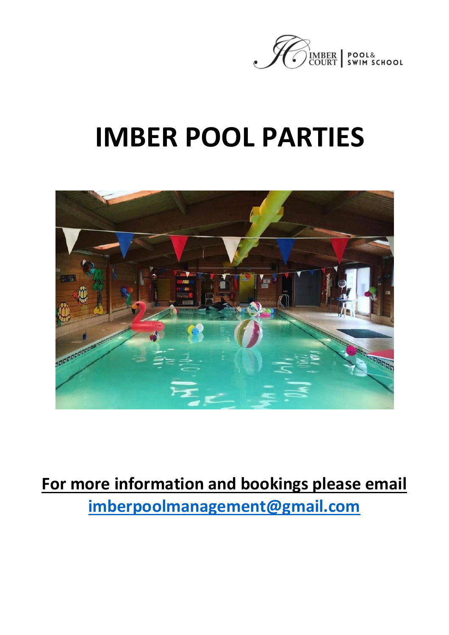

# **IMBER POOL PARTIES**



# **For more information and bookings please email imberpoolmanagement@gmail.com**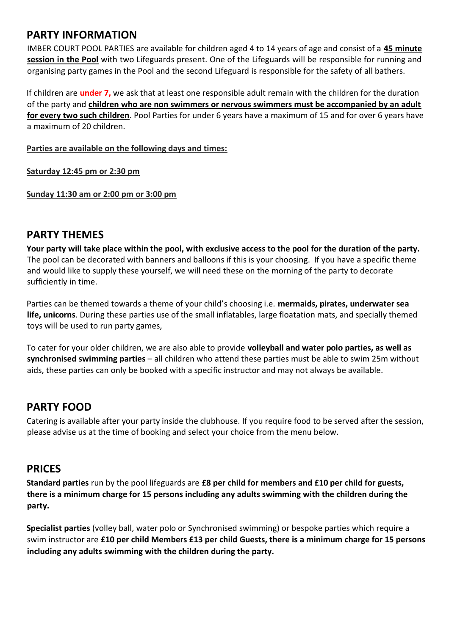#### **PARTY INFORMATION**

IMBER COURT POOL PARTIES are available for children aged 4 to 14 years of age and consist of a **45 minute session in the Pool** with two Lifeguards present. One of the Lifeguards will be responsible for running and organising party games in the Pool and the second Lifeguard is responsible for the safety of all bathers.

If children are **under 7,** we ask that at least one responsible adult remain with the children for the duration of the party and **children who are non swimmers or nervous swimmers must be accompanied by an adult for every two such children**. Pool Parties for under 6 years have a maximum of 15 and for over 6 years have a maximum of 20 children.

**Parties are available on the following days and times:**

**Saturday 12:45 pm or 2:30 pm** 

**Sunday 11:30 am or 2:00 pm or 3:00 pm**

#### **PARTY THEMES**

**Your party will take place within the pool, with exclusive access to the pool for the duration of the party.** The pool can be decorated with banners and balloons if this is your choosing. If you have a specific theme and would like to supply these yourself, we will need these on the morning of the party to decorate sufficiently in time.

Parties can be themed towards a theme of your child's choosing i.e. **mermaids, pirates, underwater sea life, unicorns**. During these parties use of the small inflatables, large floatation mats, and specially themed toys will be used to run party games,

To cater for your older children, we are also able to provide **volleyball and water polo parties, as well as synchronised swimming parties** – all children who attend these parties must be able to swim 25m without aids, these parties can only be booked with a specific instructor and may not always be available.

#### **PARTY FOOD**

Catering is available after your party inside the clubhouse. If you require food to be served after the session, please advise us at the time of booking and select your choice from the menu below.

#### **PRICES**

**Standard parties** run by the pool lifeguards are **£8 per child for members and £10 per child for guests, there is a minimum charge for 15 persons including any adults swimming with the children during the party.** 

**Specialist parties** (volley ball, water polo or Synchronised swimming) or bespoke parties which require a swim instructor are **£10 per child Members £13 per child Guests, there is a minimum charge for 15 persons including any adults swimming with the children during the party.**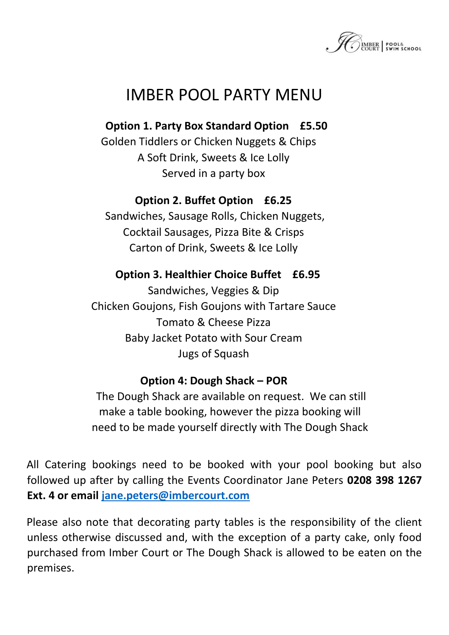

### IMBER POOL PARTY MENU

**Option 1. Party Box Standard Option £5.50** 

Golden Tiddlers or Chicken Nuggets & Chips A Soft Drink, Sweets & Ice Lolly Served in a party box

#### **Option 2. Buffet Option £6.25**

Sandwiches, Sausage Rolls, Chicken Nuggets, Cocktail Sausages, Pizza Bite & Crisps Carton of Drink, Sweets & Ice Lolly

#### **Option 3. Healthier Choice Buffet £6.95**

Sandwiches, Veggies & Dip Chicken Goujons, Fish Goujons with Tartare Sauce Tomato & Cheese Pizza Baby Jacket Potato with Sour Cream Jugs of Squash

#### **Option 4: Dough Shack – POR**

The Dough Shack are available on request. We can still make a table booking, however the pizza booking will need to be made yourself directly with The Dough Shack

All Catering bookings need to be booked with your pool booking but also followed up after by calling the Events Coordinator Jane Peters **0208 398 1267 Ext. 4 or email jane.peters@imbercourt.com** 

Please also note that decorating party tables is the responsibility of the client unless otherwise discussed and, with the exception of a party cake, only food purchased from Imber Court or The Dough Shack is allowed to be eaten on the premises.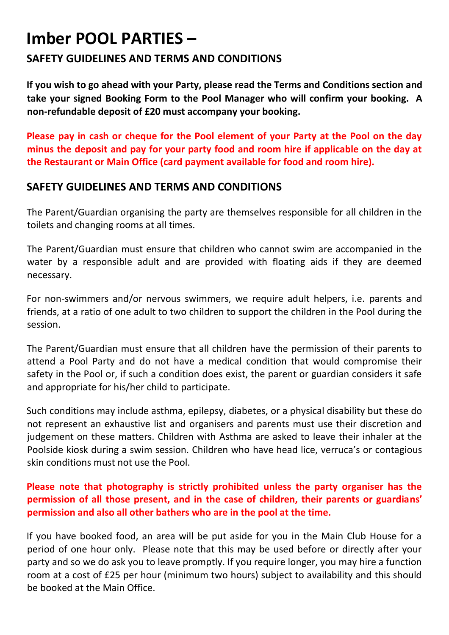## **Imber POOL PARTIES –**

#### **SAFETY GUIDELINES AND TERMS AND CONDITIONS**

**If you wish to go ahead with your Party, please read the Terms and Conditions section and take your signed Booking Form to the Pool Manager who will confirm your booking. A non-refundable deposit of £20 must accompany your booking.** 

**Please pay in cash or cheque for the Pool element of your Party at the Pool on the day minus the deposit and pay for your party food and room hire if applicable on the day at the Restaurant or Main Office (card payment available for food and room hire).** 

#### **SAFETY GUIDELINES AND TERMS AND CONDITIONS**

The Parent/Guardian organising the party are themselves responsible for all children in the toilets and changing rooms at all times.

The Parent/Guardian must ensure that children who cannot swim are accompanied in the water by a responsible adult and are provided with floating aids if they are deemed necessary.

For non-swimmers and/or nervous swimmers, we require adult helpers, i.e. parents and friends, at a ratio of one adult to two children to support the children in the Pool during the session.

The Parent/Guardian must ensure that all children have the permission of their parents to attend a Pool Party and do not have a medical condition that would compromise their safety in the Pool or, if such a condition does exist, the parent or guardian considers it safe and appropriate for his/her child to participate.

Such conditions may include asthma, epilepsy, diabetes, or a physical disability but these do not represent an exhaustive list and organisers and parents must use their discretion and judgement on these matters. Children with Asthma are asked to leave their inhaler at the Poolside kiosk during a swim session. Children who have head lice, verruca's or contagious skin conditions must not use the Pool.

#### **Please note that photography is strictly prohibited unless the party organiser has the permission of all those present, and in the case of children, their parents or guardians' permission and also all other bathers who are in the pool at the time.**

If you have booked food, an area will be put aside for you in the Main Club House for a period of one hour only. Please note that this may be used before or directly after your party and so we do ask you to leave promptly. If you require longer, you may hire a function room at a cost of £25 per hour (minimum two hours) subject to availability and this should be booked at the Main Office.